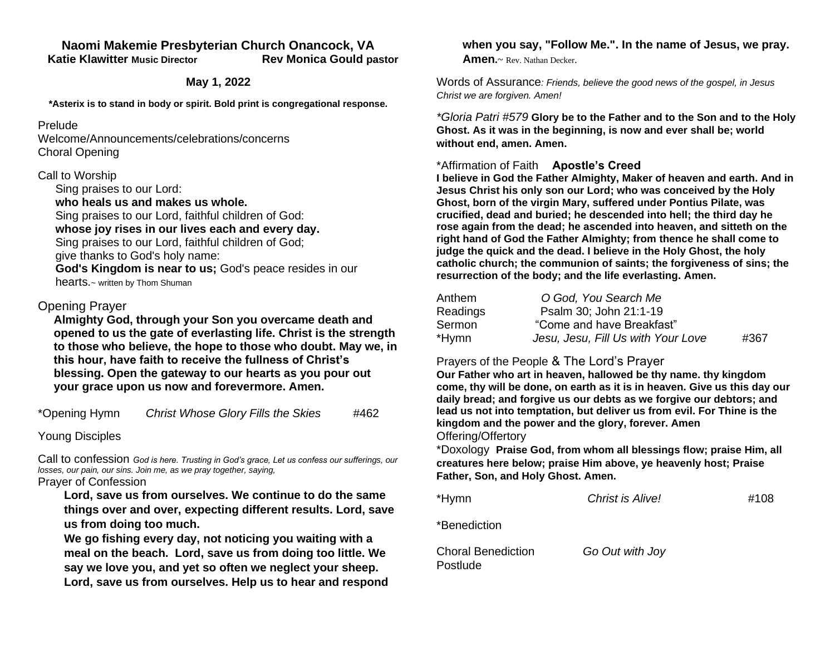### **Naomi Makemie Presbyterian Church Onancock, VA Katie Klawitter Music Director Rev Monica Gould pastor**

**May 1, 2022** 

**\*Asterix is to stand in body or spirit. Bold print is congregational response.**

#### Prelude

Welcome/Announcements/celebrations/concerns Choral Opening

### Call to Worship

Sing praises to our Lord: **who heals us and makes us whole.** Sing praises to our Lord, faithful children of God: **whose joy rises in our lives each and every day.** Sing praises to our Lord, faithful children of God; give thanks to God's holy name: **God's Kingdom is near to us;** God's peace resides in our hearts.~ written by Thom Shuman

## Opening Prayer

**Almighty God, through your Son you overcame death and opened to us the gate of everlasting life. Christ is the strength to those who believe, the hope to those who doubt. May we, in this hour, have faith to receive the fullness of Christ's blessing. Open the gateway to our hearts as you pour out your grace upon us now and forevermore. Amen.** 

\*Opening Hymn *Christ Whose Glory Fills the Skies* #462

Young Disciples

Call to confession *God is here. Trusting in God's grace, Let us confess our sufferings, our losses, our pain, our sins. Join me, as we pray together, saying,* Prayer of Confession

**Lord, save us from ourselves. We continue to do the same things over and over, expecting different results. Lord, save us from doing too much.**

**We go fishing every day, not noticing you waiting with a meal on the beach. Lord, save us from doing too little. We say we love you, and yet so often we neglect your sheep. Lord, save us from ourselves. Help us to hear and respond** 

#### **when you say, "Follow Me.". In the name of Jesus, we pray. Amen.**~ Rev. Nathan Decker.

Words of Assurance*: Friends, believe the good news of the gospel, in Jesus Christ we are forgiven. Amen!*

*\*Gloria Patri #579* **Glory be to the Father and to the Son and to the Holy Ghost. As it was in the beginning, is now and ever shall be; world without end, amen. Amen.** 

## \*Affirmation of Faith **Apostle's Creed**

**I believe in God the Father Almighty, Maker of heaven and earth. And in Jesus Christ his only son our Lord; who was conceived by the Holy Ghost, born of the virgin Mary, suffered under Pontius Pilate, was crucified, dead and buried; he descended into hell; the third day he rose again from the dead; he ascended into heaven, and sitteth on the right hand of God the Father Almighty; from thence he shall come to judge the quick and the dead. I believe in the Holy Ghost, the holy catholic church; the communion of saints; the forgiveness of sins; the resurrection of the body; and the life everlasting. Amen.**

| Anthem   | O God, You Search Me               |      |
|----------|------------------------------------|------|
| Readings | Psalm 30; John 21:1-19             |      |
| Sermon   | "Come and have Breakfast"          |      |
| *Hymn    | Jesu, Jesu, Fill Us with Your Love | #367 |

### Prayers of the People & The Lord's Prayer

**Our Father who art in heaven, hallowed be thy name. thy kingdom come, thy will be done, on earth as it is in heaven. Give us this day our daily bread; and forgive us our debts as we forgive our debtors; and lead us not into temptation, but deliver us from evil. For Thine is the kingdom and the power and the glory, forever. Amen** Offering/Offertory

\*Doxology **Praise God, from whom all blessings flow; praise Him, all creatures here below; praise Him above, ye heavenly host; Praise Father, Son, and Holy Ghost. Amen.** 

\*Hymn *Christ is Alive!* #108 \*Benediction Choral Benediction *Go Out with Joy* Postlude